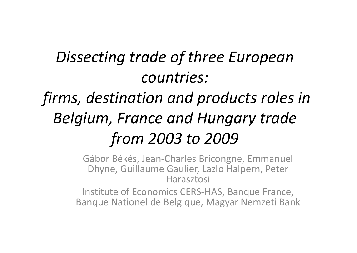## *Dissecting trade of three European countries: firms, destination and products roles in Belgium, France and Hungary trade*

#### *from 2003 to 2009* Gábor Békés, Jean‐Charles Bricongne, Emmanuel Dhyne, Guillaume Gaulier, Lazlo Halpern, Peter Harasztosi

Institute of Economics CERS‐HAS, Banque France, Banque Nationel de Belgique, Magyar Nemzeti Bank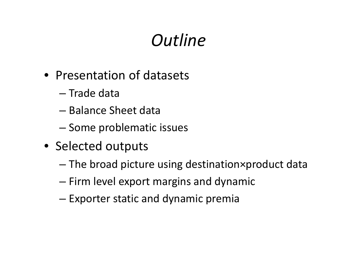## *Outline*

- Presentation of datasets
	- Trade data
	- Balance Sheet data
	- –– Some problematic issues
- Selected outputs
	- –The broad picture using destination×product data
	- – $-$  Firm level export margins and dynamic
	- Exporter static and dynamic premia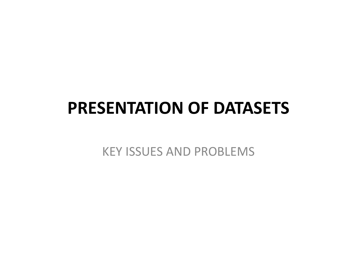### **PRESENTATION OF DATASETS**

KEY ISSUES AND PROBLEMS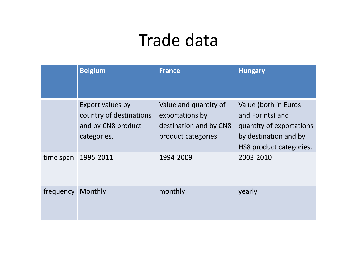## Trade data

|           | <b>Belgium</b>                                                                   | <b>France</b>                                                                             | <b>Hungary</b>                                                                                                           |
|-----------|----------------------------------------------------------------------------------|-------------------------------------------------------------------------------------------|--------------------------------------------------------------------------------------------------------------------------|
|           | Export values by<br>country of destinations<br>and by CN8 product<br>categories. | Value and quantity of<br>exportations by<br>destination and by CN8<br>product categories. | Value (both in Euros<br>and Forints) and<br>quantity of exportations<br>by destination and by<br>HS8 product categories. |
| time span | 1995-2011                                                                        | 1994-2009                                                                                 | 2003-2010                                                                                                                |
| frequency | Monthly                                                                          | monthly                                                                                   | yearly                                                                                                                   |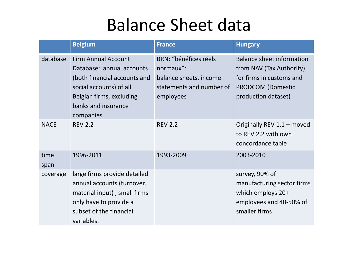#### Balance Sheet data

|              | <b>Belgium</b>                                                                                                                                                                     | <b>France</b>                                                                                         | <b>Hungary</b>                                                                                                                              |
|--------------|------------------------------------------------------------------------------------------------------------------------------------------------------------------------------------|-------------------------------------------------------------------------------------------------------|---------------------------------------------------------------------------------------------------------------------------------------------|
| database     | <b>Firm Annual Account</b><br>Database: annual accounts<br>(both financial accounts and<br>social accounts) of all<br>Belgian firms, excluding<br>banks and insurance<br>companies | BRN: "bénéfices réels<br>normaux":<br>balance sheets, income<br>statements and number of<br>employees | <b>Balance sheet information</b><br>from NAV (Tax Authority)<br>for firms in customs and<br><b>PRODCOM (Domestic</b><br>production dataset) |
| <b>NACE</b>  | <b>REV 2.2</b>                                                                                                                                                                     | <b>REV 2.2</b>                                                                                        | Originally REV 1.1 - moved<br>to REV 2.2 with own<br>concordance table                                                                      |
| time<br>span | 1996-2011                                                                                                                                                                          | 1993-2009                                                                                             | 2003-2010                                                                                                                                   |
| coverage     | large firms provide detailed<br>annual accounts (turnover,<br>material input), small firms<br>only have to provide a<br>subset of the financial<br>variables.                      |                                                                                                       | survey, 90% of<br>manufacturing sector firms<br>which employs 20+<br>employees and 40-50% of<br>smaller firms                               |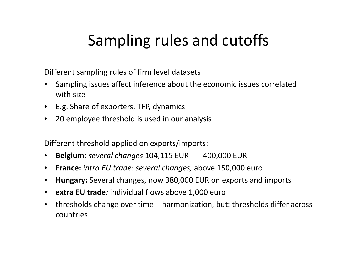#### Sampling rules and cutoffs

Different sampling rules of firm level datasets

- • Sampling issues affect inference about the economic issues correlated with size
- E.g. Share of exporters, TFP, dynamics
- 20 employee threshold is used in our analysis

Different threshold applied on exports/imports:

- $\bullet$ **Belgium:** *several changes* 104,115 EUR ‐‐‐‐ 400,000 EUR
- $\bullet$ **France:** *intra EU trade: several changes,* above 150,000 euro
- $\bullet$ **Hungary:** Several changes, now 380,000 EUR on exports and imports
- **extra EU trade***:* individual flows above 1,000 euro
- $\bullet$  thresholds change over time ‐ harmonization, but: thresholds differ across countries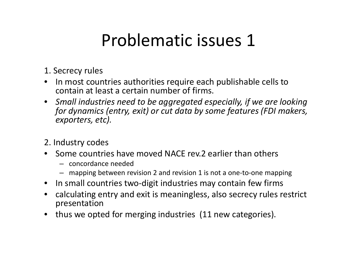### Problematic issues 1

- 1. Secrecy rules
- $\bullet$ • In most countries authorities require each publishable cells to contain at least a certain number of firms.
- *Small industries need to be aggregated especially, if we are looking for dynamics (entry, exit) or cut data by some features (FDI makers, exporters, etc).*
- 2. Industry codes
- •• Some countries have moved NACE rev.2 earlier than others
	- concordance needed
	- mapping between revision 2 and revision 1 is not a one‐to‐one mapping
- In small countries two-digit industries may contain few firms
- calculating entry and exit is meaningless, also secrecy rules restrict presentation
- $\bullet$ • thus we opted for merging industries (11 new categories).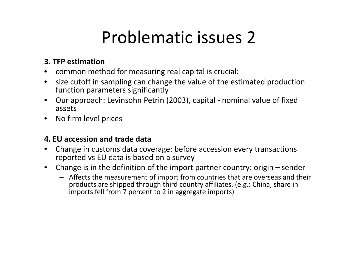## Problematic issues 2

#### **3. TFP estimation**

- •**•** common method for measuring real capital is crucial:
- $\bullet$ • size cutoff in sampling can change the value of the estimated production function parameters significantly
- $\bullet$  Our approach: Levinsohn Petrin (2003), capital ‐ nominal value of fixed assets
- No firm level prices

#### **4. EU accession and trade data**

- • Change in customs data coverage: before accession every transactions reported vs EU data is based on a survey
- $\bullet$  Change is in the definition of the import partner country: origin – sender
	- Affects the measurement of import from countries that are overseas and their products are shipped through third country affiliates. (e.g.: China, share in imports fell from 7 percent to 2 in aggregate imports)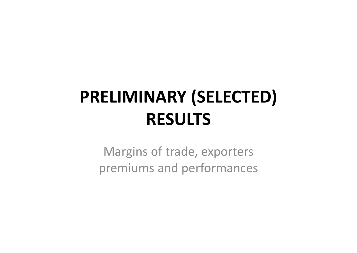# **PRELIMINARY (SELECTED) RESULTS**

Margins of trade, exporters premiums and performances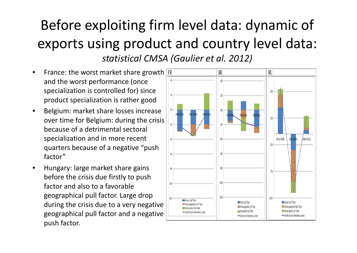#### Before exploiting firm level data: dynamic of exports using product and country level data:

*statistical CMSA (Gaulier et al. 2012)*

- •• France: the worst market share growth and the worst performance (once specialization is controlled for) since product specialization is rather good
- $\bullet$  Belgium: market share losses increase over time for Belgium: during the crisis because of <sup>a</sup> detrimental sectoral specialization and in more recent quarters because of <sup>a</sup> negative "push factor"
- $\bullet$  Hungary: large market share gains before the crisis due firstly to push factor and also to <sup>a</sup> favorable geographical pull factor. Large drop during the crisis due to <sup>a</sup> very negative geographical pull factor and <sup>a</sup> negative push factor.

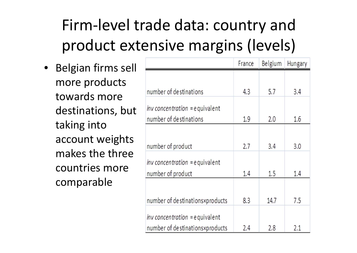## Firm‐level trade data: country and product extensive margins (levels)

• Belgian firms sell more products towards more destinations, but taking into account weights makes the three countries more comparable

|                                                                     | France | Belgium | Hungary |
|---------------------------------------------------------------------|--------|---------|---------|
|                                                                     |        |         |         |
| number of destinations                                              | 4.3    | 5.7     | 3.4     |
| $inv$ concentration = equivalent<br>number of destinations          | 1.9    | 2.0     | 1.6     |
| number of product                                                   | 2.7    | 3.4     | 3.0     |
| $inv$ concentration = equivalent<br>number of product               | 1.4    | 1.5     | 1.4     |
| number of destinationsxproducts                                     | 8.3    | 14.7    | 7.5     |
| $inv$ concentration = equivalent<br>number of destinationsxproducts | 2.4    | 2.8     | 2.1     |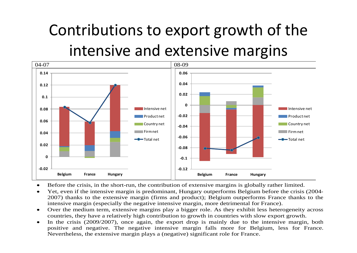## Contributions to export growth of the intensive and extensive margins



- $\bullet$ Before the crisis, in the short-run, the contribution of extensive margins is globally rather limited.
- $\bullet$  Yet, even if the intensive margin is predominant, Hungary outperforms Belgium before the crisis (2004- 2007) thanks to the extensive margin (firms and product); Belgium outperforms France thanks to the intensive margin (especially the negative intensive margin, more detrimental for France).
- $\bullet$  Over the medium term, extensive margins play a bigger role. As they exhibit less heterogeneity across countries, they have a relatively high contribution to growth in countries with slow export growth.
- $\bullet$ In the crisis (2009/2007), once again, the export drop is mainly due to the intensive margin, both positive and negative. The negative intensive margin falls more for Belgium, less for France. Nevertheless, the extensive margin plays a (negative) significant role for France.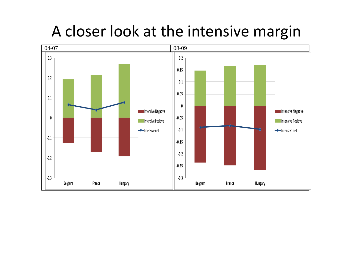#### A closer look at the intensive margin

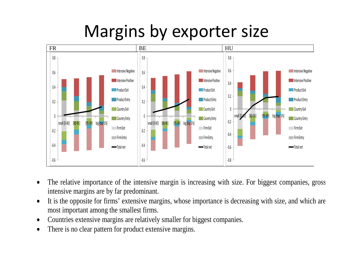## Margins by exporter size



- $\bullet$  The relative importance of the intensive margin is increasing with size. For biggest companies, gross intensive margins are by far predominant.
- $\bullet$  It is the opposite for firms' extensive margins, whose importance is decreasing with size, and which are most important among the smallest firms.
- $\bullet$ Countries extensive margins are relatively smaller for biggest companies.
- $\bullet$ There is no clear pattern for product extensive margins.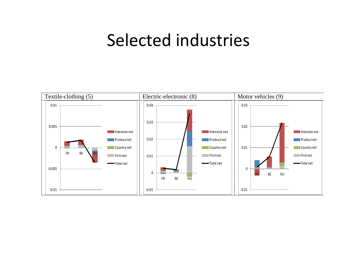#### Selected industries

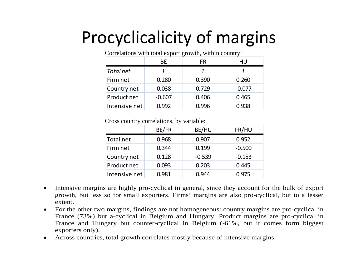# Procyclicalicity of margins

| $\sim$ 0.11 views 0.110 $\ldots$ 1.1411 volvoir virp 0.17 $\frac{1}{2}$ 0.11 $\ldots$ 1.14111111 volvoir 1.1 |          |       |          |  |  |  |
|--------------------------------------------------------------------------------------------------------------|----------|-------|----------|--|--|--|
|                                                                                                              | ВE       | FR    | HU       |  |  |  |
| Total net                                                                                                    |          |       |          |  |  |  |
| Firm net                                                                                                     | 0.280    | 0.390 | 0.260    |  |  |  |
| Country net                                                                                                  | 0.038    | 0.729 | $-0.077$ |  |  |  |
| Product net                                                                                                  | $-0.607$ | 0.406 | 0.465    |  |  |  |
| Intensive net                                                                                                | 0.992    | 0.996 | 0.938    |  |  |  |

Correlations with total export growth, within country:

Cross country correlations, by variable:

|               | BE/FR | BE/HU    | FR/HU    |
|---------------|-------|----------|----------|
| Total net     | 0.968 | 0.907    | 0.952    |
| Firm net      | 0.344 | 0.199    | $-0.500$ |
| Country net   | 0.128 | $-0.539$ | $-0.153$ |
| Product net   | 0.093 | 0.203    | 0.445    |
| Intensive net | 0.981 | 0.944    | 0.975    |

- $\bullet$  Intensive margins are highly pro-cyclical in general, since they account for the bulk of export growth, but less so for small exporters. Firms' margins are also pro-cyclical, but to a lesse r extent.
- $\bullet$ • For the other two margins, findings are not homogeneous: country margins are pro-cyclical in France (73%) but a-cyclical in Belgium and Hungary. Product margins are pro-cyclical i n France and Hungary but counter-cyclical in Belgium (-61%, but it comes form biggest exporters only).
- $\bullet$ Across countries, total growth correlates mostly because of intensive margins.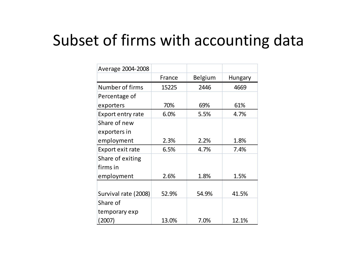#### Subset of firms with accounting data

| Average 2004-2008        |        |         |                |
|--------------------------|--------|---------|----------------|
|                          | France | Belgium | <b>Hungary</b> |
| Number of firms          | 15225  | 2446    | 4669           |
| Percentage of            |        |         |                |
| exporters                | 70%    | 69%     | 61%            |
| <b>Export entry rate</b> | 6.0%   | 5.5%    | 4.7%           |
| Share of new             |        |         |                |
| exporters in             |        |         |                |
| employment               | 2.3%   | 2.2%    | 1.8%           |
| Export exit rate         | 6.5%   | 4.7%    | 7.4%           |
| Share of exiting         |        |         |                |
| firms in                 |        |         |                |
| employment               | 2.6%   | 1.8%    | 1.5%           |
|                          |        |         |                |
| Survival rate (2008)     | 52.9%  | 54.9%   | 41.5%          |
| Share of                 |        |         |                |
| temporary exp            |        |         |                |
| (2007)                   | 13.0%  | 7.0%    | 12.1%          |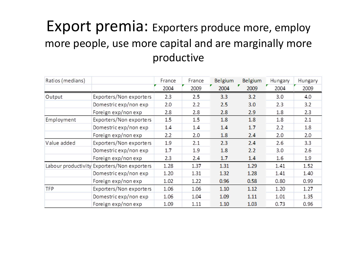#### Export premia: Exporters produce more, employ more people, use more capital and are marginally more productive

| Ratios (medians) |                                             | France | France | <b>Belgium</b> | Belgium | Hungary | Hungary |
|------------------|---------------------------------------------|--------|--------|----------------|---------|---------|---------|
|                  |                                             | 2004   | 2009   | 2004           | 2009    | 2004    | 2009    |
| Output           | Exporters/Non exporters                     | 2.3    | 2.5    | 3.3            | 3.2     | 3.0     | 4.0     |
|                  | Domestric exp/non exp                       | 2.0    | 2.2    | 2.5            | 3.0     | 2.3     | 3.2     |
|                  | Foreign exp/non exp                         | 2.8    | 2.8    | 2.8            | 2.9     | 1.8     | 2.3     |
| Employment       | Exporters/Non exporters                     | 1.5    | 1.5    | 1.8            | 1.8     | 1.8     | 2.1     |
|                  | Domestric exp/non exp                       | 1.4    | 1.4    | 1.4            | 1.7     | 2.2     | 1.8     |
|                  | Foreign exp/non exp                         | 2.2    | 2.0    | 1.8            | 2.4     | 2.0     | 2.0     |
| Value added      | Exporters/Non exporters                     | 1.9    | 2.1    | 2.3            | 2.4     | 2.6     | 3.3     |
|                  | Domestric exp/non exp                       | 1.7    | 1.9    | 1.8            | 2.2     | 3.0     | 2.6     |
|                  | Foreign exp/non exp                         | 2.3    | 2.4    | 1.7            | 1.4     | 1.6     | 1.9     |
|                  | Labour productivity Exporters/Non exporters | 1.28   | 1.37   | 1.31           | 1.29    | 1.41    | 1.52    |
|                  | Domestric exp/non exp                       | 1.20   | 1.31   | 1.32           | 1.28    | 1.41    | 1.40    |
|                  | Foreign exp/non exp                         | 1.02   | 1.22   | 0.96           | 0.58    | 0.80    | 0.99    |
| <b>TFP</b>       | Exporters/Non exporters                     | 1.06   | 1.06   | 1.10           | 1.12    | 1.20    | 1.27    |
|                  | Domestric exp/non exp                       | 1.06   | 1.04   | 1.09           | 1.11    | 1.01    | 1.35    |
|                  | Foreign exp/non exp                         | 1.09   | 1.11   | 1.10           | 1.03    | 0.73    | 0.96    |